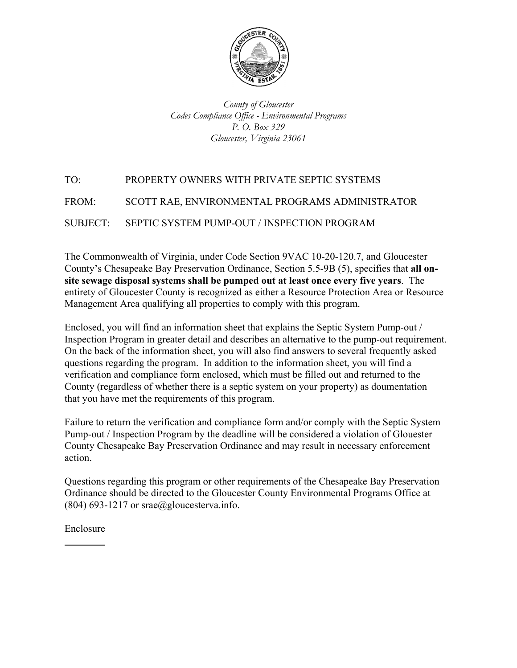

*County of Gloucester Codes Compliance Office - Environmental Programs P. O. Box 329 Gloucester, Virginia 23061* 

# TO: PROPERTY OWNERS WITH PRIVATE SEPTIC SYSTEMS FROM: SCOTT RAE, ENVIRONMENTAL PROGRAMS ADMINISTRATOR SUBJECT: SEPTIC SYSTEM PUMP-OUT / INSPECTION PROGRAM

The Commonwealth of Virginia, under Code Section 9VAC 10-20-120.7, and Gloucester County's Chesapeake Bay Preservation Ordinance, Section 5.5-9B (5), specifies that **all onsite sewage disposal systems shall be pumped out at least once every five years**. The entirety of Gloucester County is recognized as either a Resource Protection Area or Resource Management Area qualifying all properties to comply with this program.

Enclosed, you will find an information sheet that explains the Septic System Pump-out / Inspection Program in greater detail and describes an alternative to the pump-out requirement. On the back of the information sheet, you will also find answers to several frequently asked questions regarding the program. In addition to the information sheet, you will find a verification and compliance form enclosed, which must be filled out and returned to the County (regardless of whether there is a septic system on your property) as doumentation that you have met the requirements of this program.

Failure to return the verification and compliance form and/or comply with the Septic System Pump-out / Inspection Program by the deadline will be considered a violation of Glouester County Chesapeake Bay Preservation Ordinance and may result in necessary enforcement action.

Questions regarding this program or other requirements of the Chesapeake Bay Preservation Ordinance should be directed to the Gloucester County Environmental Programs Office at  $(804)$  693-1217 or srae@gloucesterva.info.

Enclosure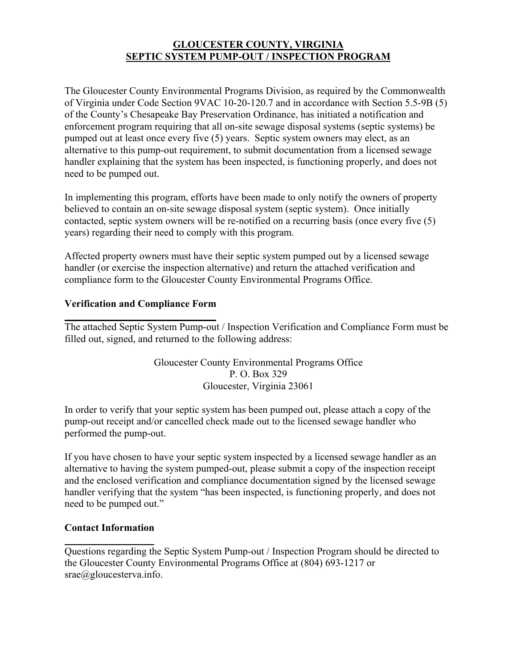## **GLOUCESTER COUNTY, VIRGINIA SEPTIC SYSTEM PUMP-OUT / INSPECTION PROGRAM**

The Gloucester County Environmental Programs Division, as required by the Commonwealth of Virginia under Code Section 9VAC 10-20-120.7 and in accordance with Section 5.5-9B (5) of the County's Chesapeake Bay Preservation Ordinance, has initiated a notification and enforcement program requiring that all on-site sewage disposal systems (septic systems) be pumped out at least once every five (5) years. Septic system owners may elect, as an alternative to this pump-out requirement, to submit documentation from a licensed sewage handler explaining that the system has been inspected, is functioning properly, and does not need to be pumped out.

In implementing this program, efforts have been made to only notify the owners of property believed to contain an on-site sewage disposal system (septic system). Once initially contacted, septic system owners will be re-notified on a recurring basis (once every five (5) years) regarding their need to comply with this program.

Affected property owners must have their septic system pumped out by a licensed sewage handler (or exercise the inspection alternative) and return the attached verification and compliance form to the Gloucester County Environmental Programs Office.

## **Verification and Compliance Form**

The attached Septic System Pump-out / Inspection Verification and Compliance Form must be filled out, signed, and returned to the following address:

> Gloucester County Environmental Programs Office P. O. Box 329 Gloucester, Virginia 23061

In order to verify that your septic system has been pumped out, please attach a copy of the pump-out receipt and/or cancelled check made out to the licensed sewage handler who performed the pump-out.

If you have chosen to have your septic system inspected by a licensed sewage handler as an alternative to having the system pumped-out, please submit a copy of the inspection receipt and the enclosed verification and compliance documentation signed by the licensed sewage handler verifying that the system "has been inspected, is functioning properly, and does not need to be pumped out."

## **Contact Information**

Questions regarding the Septic System Pump-out / Inspection Program should be directed to the Gloucester County Environmental Programs Office at (804) 693-1217 or srae@gloucesterva.info.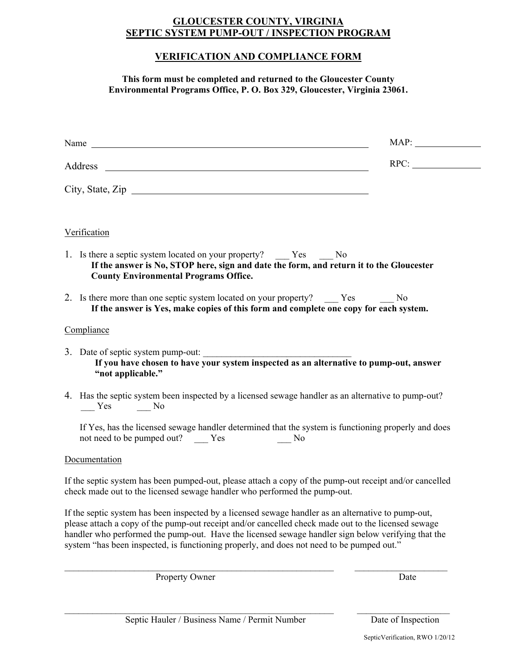#### **GLOUCESTER COUNTY, VIRGINIA SEPTIC SYSTEM PUMP-OUT / INSPECTION PROGRAM**

## **VERIFICATION AND COMPLIANCE FORM**

**This form must be completed and returned to the Gloucester County Environmental Programs Office, P. O. Box 329, Gloucester, Virginia 23061.**

|         |                                                                                                                                                                                                                                                                                                                                                                                                               | MAP: |
|---------|---------------------------------------------------------------------------------------------------------------------------------------------------------------------------------------------------------------------------------------------------------------------------------------------------------------------------------------------------------------------------------------------------------------|------|
| Address |                                                                                                                                                                                                                                                                                                                                                                                                               | RPC: |
|         | City, State, Zip                                                                                                                                                                                                                                                                                                                                                                                              |      |
|         | Verification                                                                                                                                                                                                                                                                                                                                                                                                  |      |
|         | 1. Is there a septic system located on your property? ______ Yes ______ No<br>If the answer is No, STOP here, sign and date the form, and return it to the Gloucester<br><b>County Environmental Programs Office.</b>                                                                                                                                                                                         |      |
|         | 2. Is there more than one septic system located on your property? Yes No<br>If the answer is Yes, make copies of this form and complete one copy for each system.                                                                                                                                                                                                                                             |      |
|         | Compliance                                                                                                                                                                                                                                                                                                                                                                                                    |      |
|         | 3. Date of septic system pump-out:<br>If you have chosen to have your system inspected as an alternative to pump-out, answer<br>"not applicable."                                                                                                                                                                                                                                                             |      |
|         | 4. Has the septic system been inspected by a licensed sewage handler as an alternative to pump-out?<br>$\frac{\ }{}$ Yes $\frac{\ }{}$ No                                                                                                                                                                                                                                                                     |      |
|         | If Yes, has the licensed sewage handler determined that the system is functioning properly and does<br>not need to be pumped out? Yes<br>No.                                                                                                                                                                                                                                                                  |      |
|         | Documentation                                                                                                                                                                                                                                                                                                                                                                                                 |      |
|         | If the septic system has been pumped-out, please attach a copy of the pump-out receipt and/or cancelled<br>check made out to the licensed sewage handler who performed the pump-out.                                                                                                                                                                                                                          |      |
|         | If the septic system has been inspected by a licensed sewage handler as an alternative to pump-out,<br>please attach a copy of the pump-out receipt and/or cancelled check made out to the licensed sewage<br>handler who performed the pump-out. Have the licensed sewage handler sign below verifying that the<br>system "has been inspected, is functioning properly, and does not need to be pumped out." |      |

Property Owner Date

\_\_\_\_\_\_\_\_\_\_\_\_\_\_\_\_\_\_\_\_\_\_\_\_\_\_\_\_\_\_\_\_\_\_\_\_\_\_\_\_\_\_\_\_\_\_\_\_\_\_\_\_\_\_\_\_\_\_ \_\_\_\_\_\_\_\_\_\_\_\_\_\_\_\_\_\_\_\_

\_\_\_\_\_\_\_\_\_\_\_\_\_\_\_\_\_\_\_\_\_\_\_\_\_\_\_\_\_\_\_\_\_\_\_\_\_\_\_\_\_\_\_\_\_\_\_\_\_\_\_\_\_\_\_\_\_\_ \_\_\_\_\_\_\_\_\_\_\_\_\_\_\_\_\_\_\_\_